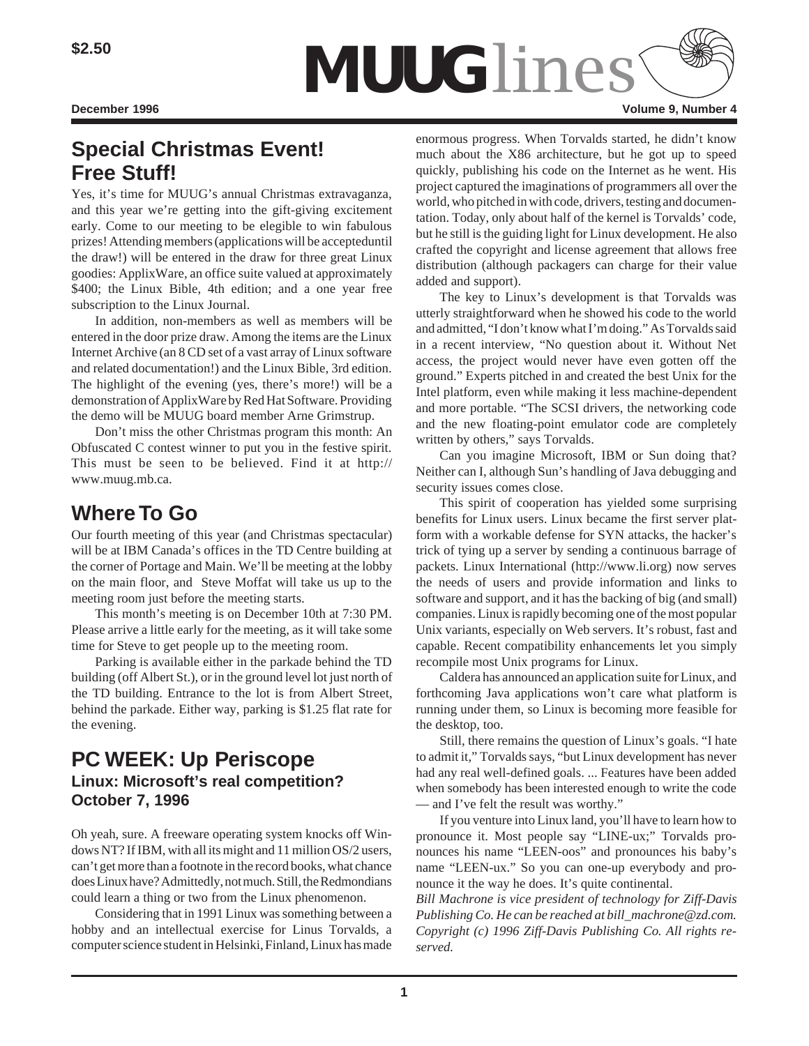

# **Special Christmas Event! Free Stuff!**

Yes, it's time for MUUG's annual Christmas extravaganza, and this year we're getting into the gift-giving excitement early. Come to our meeting to be elegible to win fabulous prizes! Attending members (applications will be accepteduntil the draw!) will be entered in the draw for three great Linux goodies: ApplixWare, an office suite valued at approximately \$400; the Linux Bible, 4th edition; and a one year free subscription to the Linux Journal.

In addition, non-members as well as members will be entered in the door prize draw. Among the items are the Linux Internet Archive (an 8 CD set of a vast array of Linux software and related documentation!) and the Linux Bible, 3rd edition. The highlight of the evening (yes, there's more!) will be a demonstration of ApplixWare by Red Hat Software. Providing the demo will be MUUG board member Arne Grimstrup.

Don't miss the other Christmas program this month: An Obfuscated C contest winner to put you in the festive spirit. This must be seen to be believed. Find it at http:// www.muug.mb.ca.

# **Where To Go**

Our fourth meeting of this year (and Christmas spectacular) will be at IBM Canada's offices in the TD Centre building at the corner of Portage and Main. We'll be meeting at the lobby on the main floor, and Steve Moffat will take us up to the meeting room just before the meeting starts.

This month's meeting is on December 10th at 7:30 PM. Please arrive a little early for the meeting, as it will take some time for Steve to get people up to the meeting room.

Parking is available either in the parkade behind the TD building (off Albert St.), or in the ground level lot just north of the TD building. Entrance to the lot is from Albert Street, behind the parkade. Either way, parking is \$1.25 flat rate for the evening.

## **PC WEEK: Up Periscope Linux: Microsoft's real competition? October 7, 1996**

Oh yeah, sure. A freeware operating system knocks off Windows NT? If IBM, with all its might and 11 million OS/2 users, can't get more than a footnote in the record books, what chance does Linux have? Admittedly, not much. Still, the Redmondians could learn a thing or two from the Linux phenomenon.

Considering that in 1991 Linux was something between a hobby and an intellectual exercise for Linus Torvalds, a computer science student in Helsinki, Finland, Linux has made

enormous progress. When Torvalds started, he didn't know much about the X86 architecture, but he got up to speed quickly, publishing his code on the Internet as he went. His project captured the imaginations of programmers all over the world, who pitched in with code, drivers, testing and documentation. Today, only about half of the kernel is Torvalds' code, but he still is the guiding light for Linux development. He also crafted the copyright and license agreement that allows free distribution (although packagers can charge for their value added and support).

The key to Linux's development is that Torvalds was utterly straightforward when he showed his code to the world and admitted, "I don't know what I'm doing." As Torvalds said in a recent interview, "No question about it. Without Net access, the project would never have even gotten off the ground." Experts pitched in and created the best Unix for the Intel platform, even while making it less machine-dependent and more portable. "The SCSI drivers, the networking code and the new floating-point emulator code are completely written by others," says Torvalds.

Can you imagine Microsoft, IBM or Sun doing that? Neither can I, although Sun's handling of Java debugging and security issues comes close.

This spirit of cooperation has yielded some surprising benefits for Linux users. Linux became the first server platform with a workable defense for SYN attacks, the hacker's trick of tying up a server by sending a continuous barrage of packets. Linux International (http://www.li.org) now serves the needs of users and provide information and links to software and support, and it has the backing of big (and small) companies. Linux is rapidly becoming one of the most popular Unix variants, especially on Web servers. It's robust, fast and capable. Recent compatibility enhancements let you simply recompile most Unix programs for Linux.

Caldera has announced an application suite for Linux, and forthcoming Java applications won't care what platform is running under them, so Linux is becoming more feasible for the desktop, too.

Still, there remains the question of Linux's goals. "I hate to admit it," Torvalds says, "but Linux development has never had any real well-defined goals. ... Features have been added when somebody has been interested enough to write the code — and I've felt the result was worthy."

If you venture into Linux land, you'll have to learn how to pronounce it. Most people say "LINE-ux;" Torvalds pronounces his name "LEEN-oos" and pronounces his baby's name "LEEN-ux." So you can one-up everybody and pronounce it the way he does. It's quite continental.

*Bill Machrone is vice president of technology for Ziff-Davis Publishing Co. He can be reached at bill\_machrone@zd.com. Copyright (c) 1996 Ziff-Davis Publishing Co. All rights reserved.*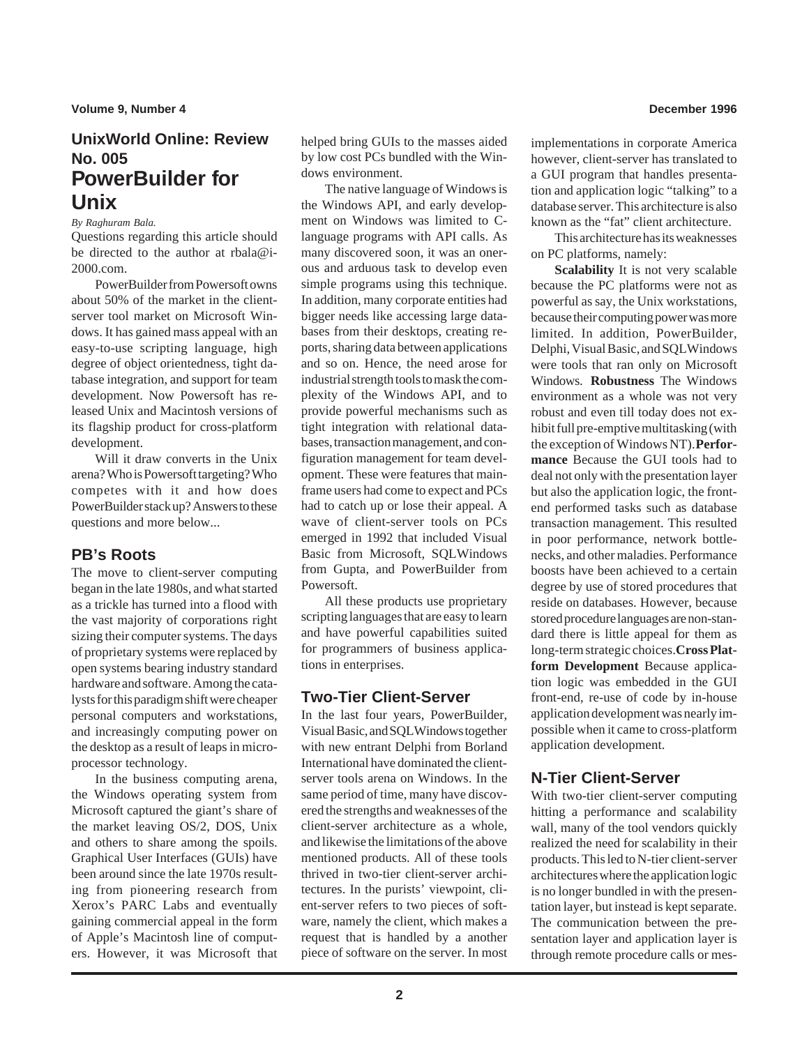## **UnixWorld Online: Review No. 005 PowerBuilder for Unix**

### *By Raghuram Bala.*

Questions regarding this article should be directed to the author at rbala@i-2000.com.

PowerBuilder from Powersoft owns about 50% of the market in the clientserver tool market on Microsoft Windows. It has gained mass appeal with an easy-to-use scripting language, high degree of object orientedness, tight database integration, and support for team development. Now Powersoft has released Unix and Macintosh versions of its flagship product for cross-platform development.

Will it draw converts in the Unix arena? Who is Powersoft targeting? Who competes with it and how does PowerBuilder stack up? Answers to these questions and more below...

### **PB's Roots**

The move to client-server computing began in the late 1980s, and what started as a trickle has turned into a flood with the vast majority of corporations right sizing their computer systems. The days of proprietary systems were replaced by open systems bearing industry standard hardware and software. Among the catalysts for this paradigm shift were cheaper personal computers and workstations, and increasingly computing power on the desktop as a result of leaps in microprocessor technology.

In the business computing arena, the Windows operating system from Microsoft captured the giant's share of the market leaving OS/2, DOS, Unix and others to share among the spoils. Graphical User Interfaces (GUIs) have been around since the late 1970s resulting from pioneering research from Xerox's PARC Labs and eventually gaining commercial appeal in the form of Apple's Macintosh line of computers. However, it was Microsoft that helped bring GUIs to the masses aided by low cost PCs bundled with the Windows environment.

The native language of Windows is the Windows API, and early development on Windows was limited to Clanguage programs with API calls. As many discovered soon, it was an onerous and arduous task to develop even simple programs using this technique. In addition, many corporate entities had bigger needs like accessing large databases from their desktops, creating reports, sharing data between applications and so on. Hence, the need arose for industrial strength tools to mask the complexity of the Windows API, and to provide powerful mechanisms such as tight integration with relational databases, transaction management, and configuration management for team development. These were features that mainframe users had come to expect and PCs had to catch up or lose their appeal. A wave of client-server tools on PCs emerged in 1992 that included Visual Basic from Microsoft, SQLWindows from Gupta, and PowerBuilder from Powersoft.

All these products use proprietary scripting languages that are easy to learn and have powerful capabilities suited for programmers of business applications in enterprises.

### **Two-Tier Client-Server**

In the last four years, PowerBuilder, Visual Basic, and SQLWindows together with new entrant Delphi from Borland International have dominated the clientserver tools arena on Windows. In the same period of time, many have discovered the strengths and weaknesses of the client-server architecture as a whole, and likewise the limitations of the above mentioned products. All of these tools thrived in two-tier client-server architectures. In the purists' viewpoint, client-server refers to two pieces of software, namely the client, which makes a request that is handled by a another piece of software on the server. In most

implementations in corporate America however, client-server has translated to a GUI program that handles presentation and application logic "talking" to a database server. This architecture is also known as the "fat" client architecture.

This architecture has its weaknesses on PC platforms, namely:

**Scalability** It is not very scalable because the PC platforms were not as powerful as say, the Unix workstations, because their computing power was more limited. In addition, PowerBuilder, Delphi, Visual Basic, and SQLWindows were tools that ran only on Microsoft Windows. **Robustness** The Windows environment as a whole was not very robust and even till today does not exhibit full pre-emptive multitasking (with the exception of Windows NT). **Performance** Because the GUI tools had to deal not only with the presentation layer but also the application logic, the frontend performed tasks such as database transaction management. This resulted in poor performance, network bottlenecks, and other maladies. Performance boosts have been achieved to a certain degree by use of stored procedures that reside on databases. However, because stored procedure languages are non-standard there is little appeal for them as long-term strategic choices. **Cross Platform Development** Because application logic was embedded in the GUI front-end, re-use of code by in-house application development was nearly impossible when it came to cross-platform application development.

### **N-Tier Client-Server**

With two-tier client-server computing hitting a performance and scalability wall, many of the tool vendors quickly realized the need for scalability in their products. This led to N-tier client-server architectures where the application logic is no longer bundled in with the presentation layer, but instead is kept separate. The communication between the presentation layer and application layer is through remote procedure calls or mes-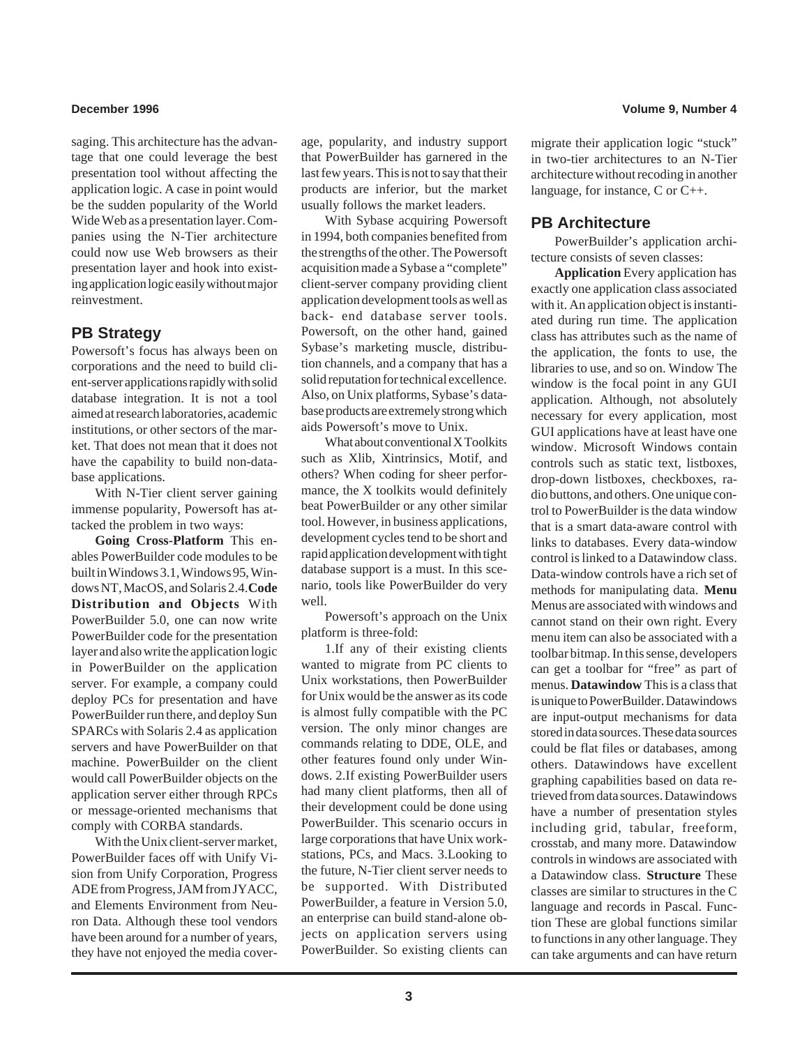saging. This architecture has the advantage that one could leverage the best presentation tool without affecting the application logic. A case in point would be the sudden popularity of the World Wide Web as a presentation layer. Companies using the N-Tier architecture could now use Web browsers as their presentation layer and hook into existing application logic easily without major reinvestment.

### **PB Strategy**

Powersoft's focus has always been on corporations and the need to build client-server applications rapidly with solid database integration. It is not a tool aimed at research laboratories, academic institutions, or other sectors of the market. That does not mean that it does not have the capability to build non-database applications.

With N-Tier client server gaining immense popularity, Powersoft has attacked the problem in two ways:

**Going Cross-Platform** This enables PowerBuilder code modules to be built in Windows 3.1, Windows 95, Windows NT, MacOS, and Solaris 2.4. **Code Distribution and Objects** With PowerBuilder 5.0, one can now write PowerBuilder code for the presentation layer and also write the application logic in PowerBuilder on the application server. For example, a company could deploy PCs for presentation and have PowerBuilder run there, and deploy Sun SPARCs with Solaris 2.4 as application servers and have PowerBuilder on that machine. PowerBuilder on the client would call PowerBuilder objects on the application server either through RPCs or message-oriented mechanisms that comply with CORBA standards.

With the Unix client-server market, PowerBuilder faces off with Unify Vision from Unify Corporation, Progress ADE from Progress, JAM from JYACC, and Elements Environment from Neuron Data. Although these tool vendors have been around for a number of years, they have not enjoyed the media cover-

age, popularity, and industry support that PowerBuilder has garnered in the last few years. This is not to say that their products are inferior, but the market usually follows the market leaders.

With Sybase acquiring Powersoft in 1994, both companies benefited from the strengths of the other. The Powersoft acquisition made a Sybase a "complete" client-server company providing client application development tools as well as back- end database server tools. Powersoft, on the other hand, gained Sybase's marketing muscle, distribution channels, and a company that has a solid reputation for technical excellence. Also, on Unix platforms, Sybase's database products are extremely strong which aids Powersoft's move to Unix.

What about conventional X Toolkits such as Xlib, Xintrinsics, Motif, and others? When coding for sheer performance, the X toolkits would definitely beat PowerBuilder or any other similar tool. However, in business applications, development cycles tend to be short and rapid application development with tight database support is a must. In this scenario, tools like PowerBuilder do very well.

Powersoft's approach on the Unix platform is three-fold:

1.If any of their existing clients wanted to migrate from PC clients to Unix workstations, then PowerBuilder for Unix would be the answer as its code is almost fully compatible with the PC version. The only minor changes are commands relating to DDE, OLE, and other features found only under Windows. 2.If existing PowerBuilder users had many client platforms, then all of their development could be done using PowerBuilder. This scenario occurs in large corporations that have Unix workstations, PCs, and Macs. 3.Looking to the future, N-Tier client server needs to be supported. With Distributed PowerBuilder, a feature in Version 5.0, an enterprise can build stand-alone objects on application servers using PowerBuilder. So existing clients can migrate their application logic "stuck" in two-tier architectures to an N-Tier architecture without recoding in another language, for instance, C or C++.

### **PB Architecture**

PowerBuilder's application architecture consists of seven classes:

**Application** Every application has exactly one application class associated with it. An application object is instantiated during run time. The application class has attributes such as the name of the application, the fonts to use, the libraries to use, and so on. Window The window is the focal point in any GUI application. Although, not absolutely necessary for every application, most GUI applications have at least have one window. Microsoft Windows contain controls such as static text, listboxes, drop-down listboxes, checkboxes, radio buttons, and others. One unique control to PowerBuilder is the data window that is a smart data-aware control with links to databases. Every data-window control is linked to a Datawindow class. Data-window controls have a rich set of methods for manipulating data. **Menu** Menus are associated with windows and cannot stand on their own right. Every menu item can also be associated with a toolbar bitmap. In this sense, developers can get a toolbar for "free" as part of menus. **Datawindow** This is a class that is unique to PowerBuilder. Datawindows are input-output mechanisms for data stored in data sources. These data sources could be flat files or databases, among others. Datawindows have excellent graphing capabilities based on data retrieved from data sources. Datawindows have a number of presentation styles including grid, tabular, freeform, crosstab, and many more. Datawindow controls in windows are associated with a Datawindow class. **Structure** These classes are similar to structures in the C language and records in Pascal. Function These are global functions similar to functions in any other language. They can take arguments and can have return